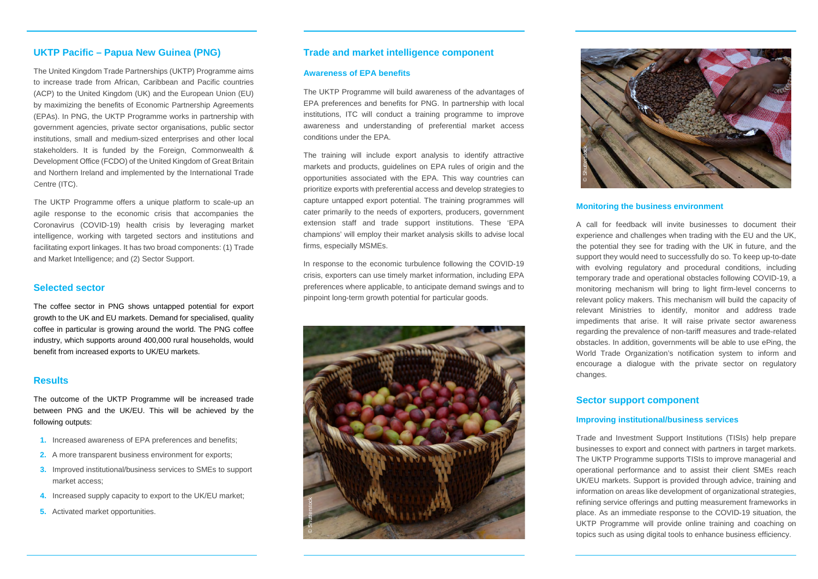# **Trade and market intelligence component**

## **Awareness of EPA benefits**

The UKTP Programme will build awareness of the advantages of EPA preferences and benefits for PNG. In partnership with local institutions, ITC will conduct a training programme to improve awareness and understanding of preferential market access conditions under the EPA.

The training will include export analysis to identify attractive markets and products, guidelines on EPA rules of origin and the opportunities associated with the EPA. This way countries can prioritize exports with preferential access and develop strategies to capture untapped export potential. The training programmes will cater primarily to the needs of exporters, producers, government extension staff and trade support institutions. These 'EPA champions' will employ their market analysis skills to advise local firms, especially MSMEs.

In response to the economic turbulence following the COVID-19 crisis, exporters can use timely market information, including EPA preferences where applicable, to anticipate demand swings and to pinpoint long-term growth potential for particular goods.

# **UKTP Pacific – Papua New Guinea (PNG)**

- **1.** Increased awareness of EPA preferences and benefits;
- **2.** A more transparent business environment for exports;
- **3.** Improved institutional/business services to SMEs to support market access;
- **4.** Increased supply capacity to export to the UK/EU market;
- **5.** Activated market opportunities.

The UKTP Programme offers a unique platform to scale-up an agile response to the economic crisis that accompanies the Coronavirus (COVID-19) health crisis by leveraging market intelligence, working with targeted sectors and institutions and facilitating export linkages. It has two broad components: (1) Trade and Market Intelligence; and (2) Sector Support.

## **Selected sector**

The coffee sector in PNG shows untapped potential for export growth to the UK and EU markets. Demand for specialised, quality coffee in particular is growing around the world. The PNG coffee industry, which supports around 400,000 rural households, would benefit from increased exports to UK/EU markets.

# **Results**

The outcome of the UKTP Programme will be increased trade between PNG and the UK/EU. This will be achieved by the following outputs:

The United Kingdom Trade Partnerships (UKTP) Programme aims to increase trade from African, Caribbean and Pacific countries (ACP) to the United Kingdom (UK) and the European Union (EU) by maximizing the benefits of Economic Partnership Agreements (EPAs). In PNG, the UKTP Programme works in partnership with government agencies, private sector organisations, public sector institutions, small and medium-sized enterprises and other local stakeholders. It is funded by the Foreign, Commonwealth & Development Office (FCDO) of the United Kingdom of Great Britain and Northern Ireland and implemented by the International Trade Centre (ITC). © Shutterstock

### **Monitoring the business environment**

A call for feedback will invite businesses to document their experience and challenges when trading with the EU and the UK, the potential they see for trading with the UK in future, and the support they would need to successfully do so. To keep up-to-date with evolving regulatory and procedural conditions, including temporary trade and operational obstacles following COVID-19, a monitoring mechanism will bring to light firm-level concerns to relevant policy makers. This mechanism will build the capacity of relevant Ministries to identify, monitor and address trade impediments that arise. It will raise private sector awareness regarding the prevalence of non-tariff measures and trade-related obstacles. In addition, governments will be able to use ePing, the World Trade Organization's notification system to inform and encourage a dialogue with the private sector on regulatory

changes.

# **Sector support component**

# **Improving institutional/business services**

Trade and Investment Support Institutions (TISIs) help prepare businesses to export and connect with partners in target markets. The UKTP Programme supports TISIs to improve managerial and operational performance and to assist their client SMEs reach UK/EU markets. Support is provided through advice, training and information on areas like development of organizational strategies, refining service offerings and putting measurement frameworks in place. As an immediate response to the COVID-19 situation, the UKTP Programme will provide online training and coaching on topics such as using digital tools to enhance business efficiency.





# © Shutterstock